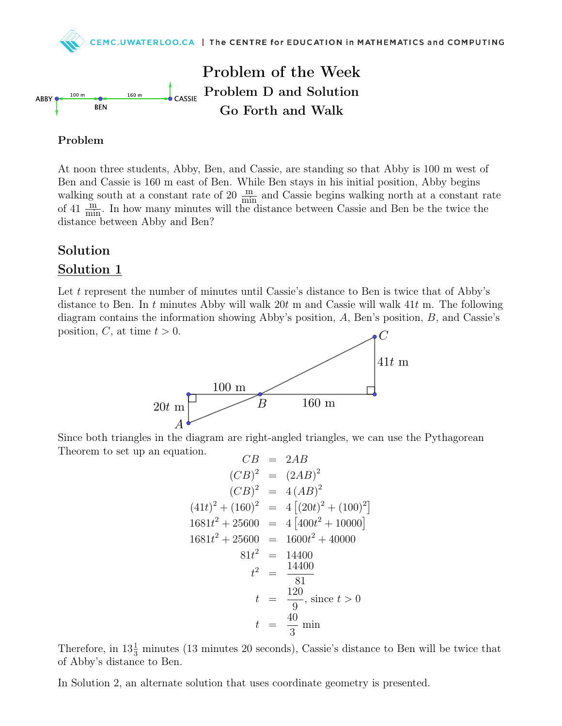

## Problem

At noon three students, Abby, Ben, and Cassie, are standing so that Abby is 100 m west of Ben and Cassie is 160 m east of Ben. While Ben stays in his initial position, Abby begins walking south at a constant rate of 20  $\frac{m}{m}$  and Cassie begins walking north at a constant rate of 41  $\frac{\text{m}}{\text{min}}$ . In how many minutes will the distance between Cassie and Ben be the twice the distance between Abby and Ben?

## Solution

## Solution 1

Let t represent the number of minutes until Cassie's distance to Ben is twice that of Abby's distance to Ben. In t minutes Abby will walk  $20t$  m and Cassie will walk  $41t$  m. The following diagram contains the information showing Abby's position, A, Ben's position, B, and Cassie's position, C, at time  $t > 0$ .



Since both triangles in the diagram are right-angled triangles, we can use the Pythagorean Theorem to set up an equation.

$$
CB = 2AB
$$
  
\n
$$
(CB)^2 = (2AB)^2
$$
  
\n
$$
(CB)^2 = 4(AB)^2
$$
  
\n
$$
(41t)^2 + (160)^2 = 4[(20t)^2 + (100)^2]
$$
  
\n
$$
1681t^2 + 25600 = 4[400t^2 + 10000]
$$
  
\n
$$
1681t^2 + 25600 = 1600t^2 + 40000
$$
  
\n
$$
81t^2 = 14400
$$
  
\n
$$
t^2 = \frac{14400}{81}
$$
  
\n
$$
t = \frac{120}{9}
$$
, since  $t > 0$   
\n
$$
t = \frac{40}{3}
$$
min

Therefore, in  $13\frac{1}{3}$  minutes (13 minutes 20 seconds), Cassie's distance to Ben will be twice that of Abby's distance to Ben.

In Solution 2, an alternate solution that uses coordinate geometry is presented.